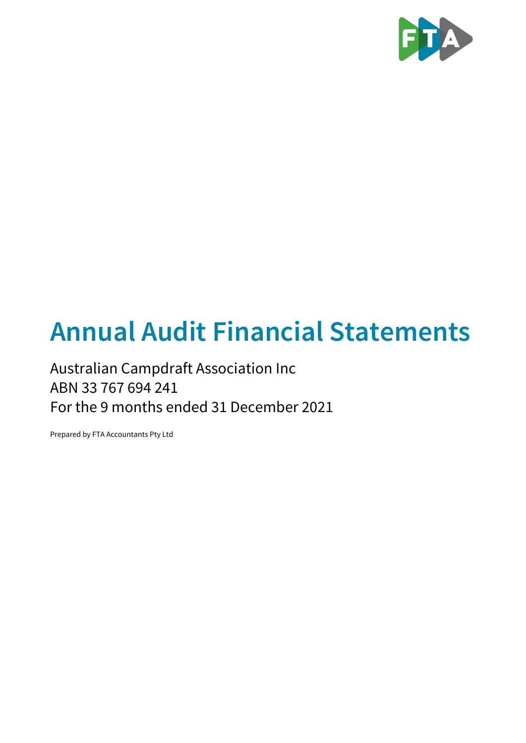

# **Annual Audit Financial Statements**

### Australian Campdraft Association Inc ABN 33 767 694 241 For the 9 months ended 31 December 2021

Prepared by FTA Accountants Pty Ltd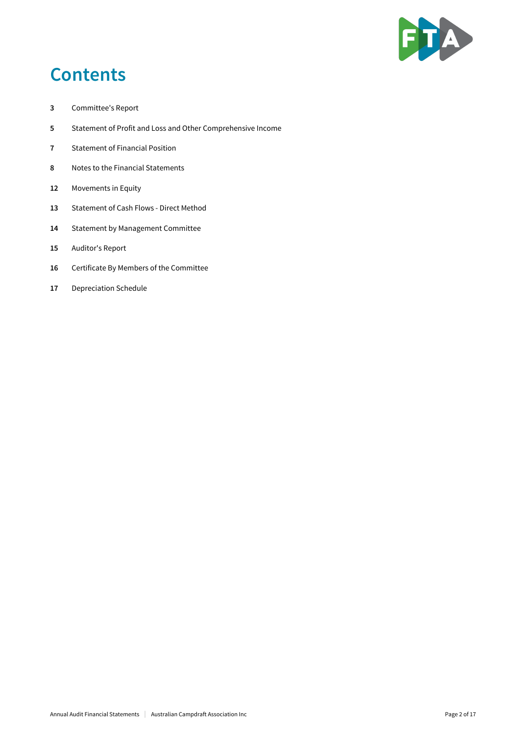

### **Contents**

- Committee's Report
- Statement of Profit and Loss and Other Comprehensive Income
- Statement of Financial Position
- Notes to the Financial Statements
- Movements in Equity
- Statement of Cash Flows Direct Method
- Statement by Management Committee
- Auditor's Report
- Certificate By Members of the Committee
- Depreciation Schedule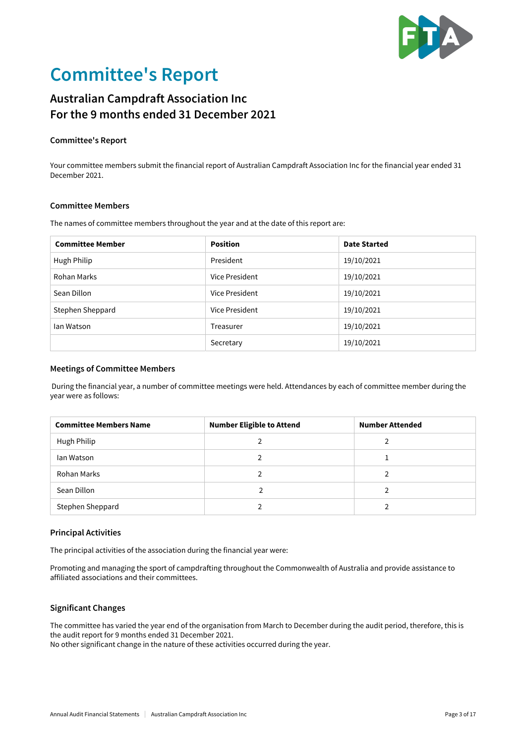

## **Committee's Report**

### **Australian Campdraft Association Inc For the 9 months ended 31 December 2021**

#### **Committee's Report**

Your committee members submit the financial report of Australian Campdraft Association Inc for the financial year ended 31 December 2021.

#### **Committee Members**

The names of committee members throughout the year and at the date of this report are:

| <b>Committee Member</b> | <b>Position</b>              | <b>Date Started</b> |  |
|-------------------------|------------------------------|---------------------|--|
| Hugh Philip             | President                    | 19/10/2021          |  |
| Rohan Marks             | Vice President               | 19/10/2021          |  |
| Sean Dillon             | Vice President               | 19/10/2021          |  |
| Stephen Sheppard        | Vice President<br>19/10/2021 |                     |  |
| lan Watson              | Treasurer                    | 19/10/2021          |  |
|                         | Secretary                    | 19/10/2021          |  |

#### **Meetings of Committee Members**

 During the financial year, a number of committee meetings were held. Attendances by each of committee member during the year were as follows:

| <b>Committee Members Name</b> | <b>Number Eligible to Attend</b> | <b>Number Attended</b> |  |
|-------------------------------|----------------------------------|------------------------|--|
| Hugh Philip                   |                                  |                        |  |
| lan Watson                    |                                  |                        |  |
| Rohan Marks                   | 2                                | າ                      |  |
| Sean Dillon                   |                                  |                        |  |
| Stephen Sheppard              |                                  |                        |  |

#### **Principal Activities**

The principal activities of the association during the financial year were:

Promoting and managing the sport of campdrafting throughout the Commonwealth of Australia and provide assistance to affiliated associations and their committees.

#### **Significant Changes**

The committee has varied the year end of the organisation from March to December during the audit period, therefore, this is the audit report for 9 months ended 31 December 2021.

No other significant change in the nature of these activities occurred during the year.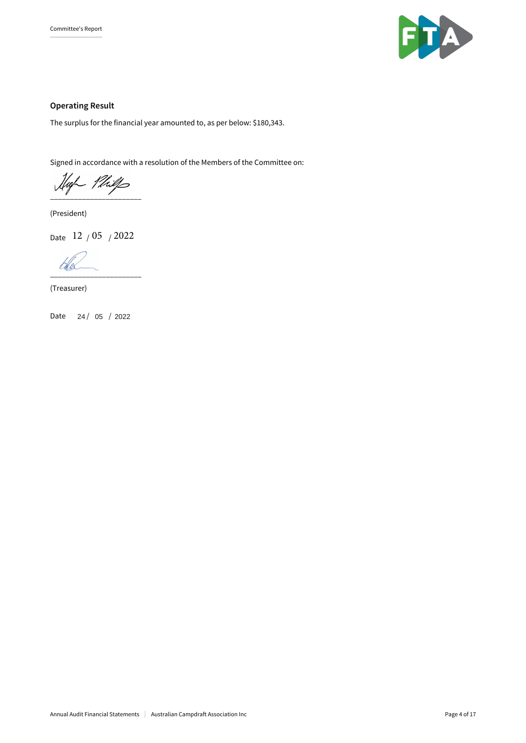

#### **Operating Result**

The surplus for the financial year amounted to, as per below: \$180,343.

Signed in accordance with a resolution of the Members of the Committee on:

High Philps

(President)

Date 12 <sub>/</sub> 05 <sub>/</sub> 2022

\_\_\_\_\_\_\_\_\_\_\_\_\_\_\_\_\_\_\_\_\_\_\_

(Treasurer)

Date 24 / 05 / 2022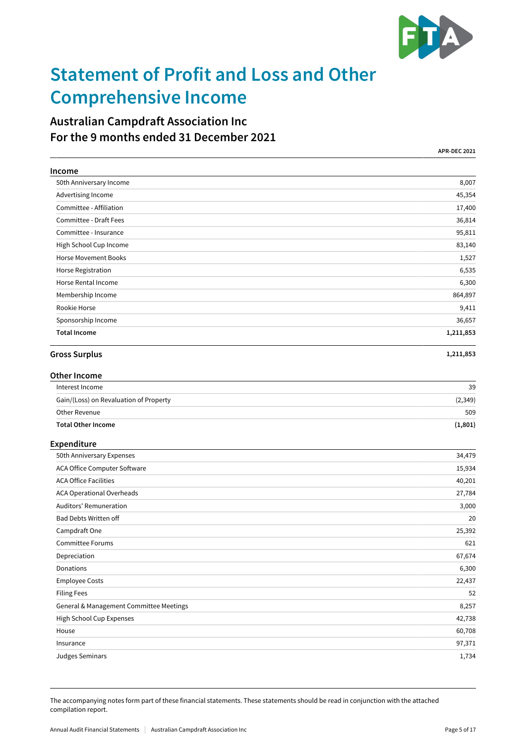

## **Statement of Profit and Loss and Other Comprehensive Income**

### **Australian Campdraft Association Inc For the 9 months ended 31 December 2021**

|                                         | <b>APR-DEC 2021</b> |
|-----------------------------------------|---------------------|
| Income                                  |                     |
| 50th Anniversary Income                 | 8,007               |
| Advertising Income                      | 45,354              |
| Committee - Affiliation                 | 17,400              |
| Committee - Draft Fees                  | 36,814              |
| Committee - Insurance                   | 95,811              |
| High School Cup Income                  | 83,140              |
| <b>Horse Movement Books</b>             | 1,527               |
| Horse Registration                      | 6,535               |
| Horse Rental Income                     | 6,300               |
| Membership Income                       | 864,897             |
| Rookie Horse                            | 9,411               |
| Sponsorship Income                      | 36,657              |
| <b>Total Income</b>                     | 1,211,853           |
| <b>Gross Surplus</b>                    | 1,211,853           |
| <b>Other Income</b>                     |                     |
| Interest Income                         | 39                  |
| Gain/(Loss) on Revaluation of Property  | (2, 349)            |
| Other Revenue                           | 509                 |
| <b>Total Other Income</b>               | (1, 801)            |
| Expenditure                             |                     |
| 50th Anniversary Expenses               | 34,479              |
| ACA Office Computer Software            | 15,934              |
| <b>ACA Office Facilities</b>            | 40,201              |
| ACA Operational Overheads               | 27,784              |
| Auditors' Remuneration                  | 3,000               |
| Bad Debts Written off                   | 20                  |
| Campdraft One                           | 25,392              |
| Committee Forums                        | 621                 |
| Depreciation                            | 67,674              |
| Donations                               | 6,300               |
| <b>Employee Costs</b>                   | 22,437              |
| <b>Filing Fees</b>                      | 52                  |
| General & Management Committee Meetings | 8,257               |
| High School Cup Expenses                | 42,738              |
| House                                   | 60,708              |
| Insurance                               | 97,371              |
| Judges Seminars                         | 1,734               |

The accompanying notes form part of these financial statements. These statements should be read in conjunction with the attached compilation report.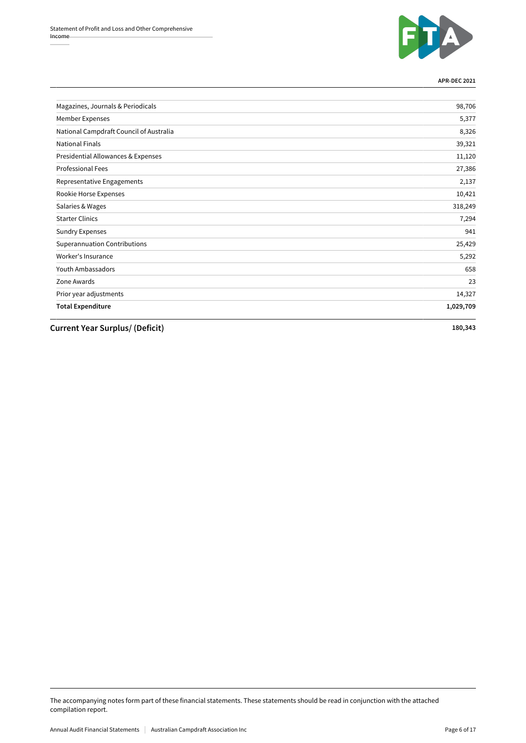

**APR-DEC 2021**

| Magazines, Journals & Periodicals       | 98,706    |
|-----------------------------------------|-----------|
| Member Expenses                         | 5,377     |
| National Campdraft Council of Australia | 8,326     |
| <b>National Finals</b>                  | 39,321    |
| Presidential Allowances & Expenses      | 11,120    |
| <b>Professional Fees</b>                | 27,386    |
| Representative Engagements              | 2,137     |
| Rookie Horse Expenses                   | 10,421    |
| Salaries & Wages                        | 318,249   |
| <b>Starter Clinics</b>                  | 7,294     |
| <b>Sundry Expenses</b>                  | 941       |
| <b>Superannuation Contributions</b>     | 25,429    |
| Worker's Insurance                      | 5,292     |
| Youth Ambassadors                       | 658       |
| Zone Awards                             | 23        |
| Prior year adjustments                  | 14,327    |
| <b>Total Expenditure</b>                | 1,029,709 |

**Current Year Surplus/ (Deficit) 180,343**

The accompanying notes form part of these financial statements. These statements should be read in conjunction with the attached compilation report.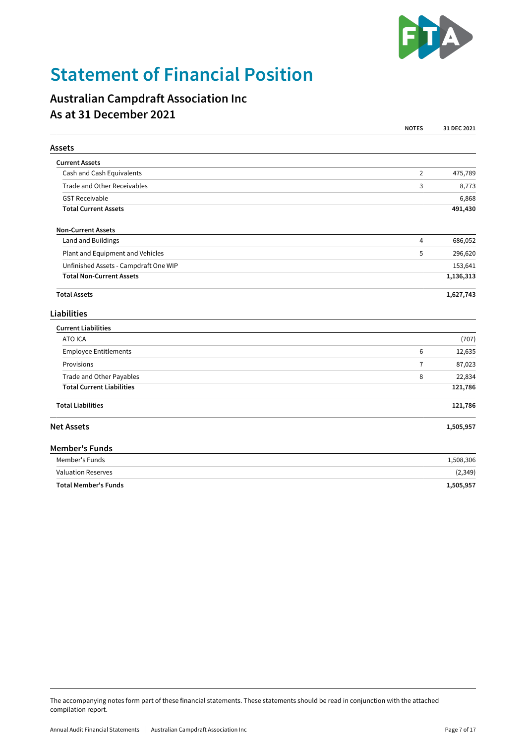

## **Statement of Financial Position**

### **Australian Campdraft Association Inc As at 31 December 2021**

|                                       | <b>NOTES</b>   | 31 DEC 2021 |
|---------------------------------------|----------------|-------------|
| <b>Assets</b>                         |                |             |
| <b>Current Assets</b>                 |                |             |
| Cash and Cash Equivalents             | $\overline{2}$ | 475,789     |
| Trade and Other Receivables           | 3              | 8,773       |
| <b>GST Receivable</b>                 |                | 6,868       |
| <b>Total Current Assets</b>           |                | 491,430     |
| <b>Non-Current Assets</b>             |                |             |
| Land and Buildings                    | $\overline{4}$ | 686,052     |
| Plant and Equipment and Vehicles      | 5              | 296,620     |
| Unfinished Assets - Campdraft One WIP |                | 153,641     |
| <b>Total Non-Current Assets</b>       |                | 1,136,313   |
| <b>Total Assets</b>                   |                | 1,627,743   |
| <b>Liabilities</b>                    |                |             |
| <b>Current Liabilities</b>            |                |             |
| ATO ICA                               |                | (707)       |
| Employee Entitlements                 | 6              | 12,635      |
| Provisions                            | $\overline{7}$ | 87,023      |
| Trade and Other Payables              | 8              | 22,834      |
| <b>Total Current Liabilities</b>      |                | 121,786     |
| <b>Total Liabilities</b>              |                | 121,786     |
| <b>Net Assets</b>                     |                | 1,505,957   |
| <b>Member's Funds</b>                 |                |             |
| Member's Funds                        |                | 1,508,306   |
| <b>Valuation Reserves</b>             |                | (2, 349)    |
| <b>Total Member's Funds</b>           |                | 1,505,957   |

The accompanying notes form part of these financial statements. These statements should be read in conjunction with the attached compilation report.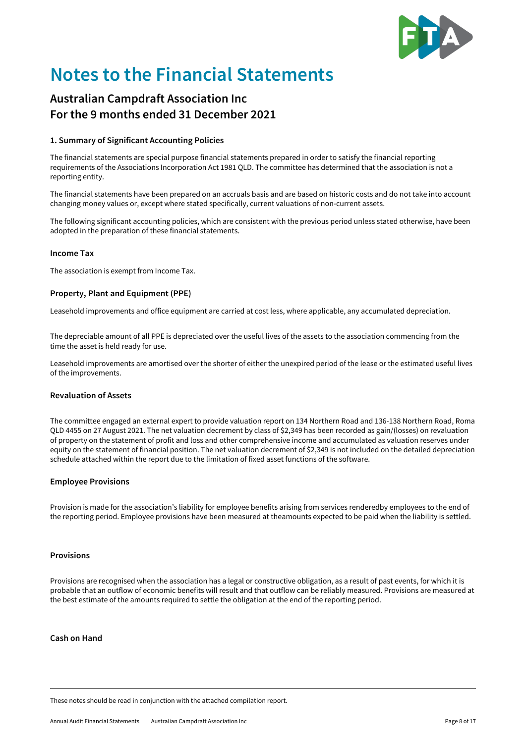

## **Notes to the Financial Statements**

### **Australian Campdraft Association Inc For the 9 months ended 31 December 2021**

#### **1. Summary of Significant Accounting Policies**

The financial statements are special purpose financial statements prepared in order to satisfy the financial reporting requirements of the Associations Incorporation Act 1981 QLD. The committee has determined that the association is not a reporting entity.

The financial statements have been prepared on an accruals basis and are based on historic costs and do not take into account changing money values or, except where stated specifically, current valuations of non-current assets.

The following significant accounting policies, which are consistent with the previous period unless stated otherwise, have been adopted in the preparation of these financial statements.

#### **Income Tax**

The association is exempt from Income Tax.

#### **Property, Plant and Equipment (PPE)**

Leasehold improvements and office equipment are carried at cost less, where applicable, any accumulated depreciation.

The depreciable amount of all PPE is depreciated over the useful lives of the assets to the association commencing from the time the asset is held ready for use.

Leasehold improvements are amortised over the shorter of either the unexpired period of the lease or the estimated useful lives of the improvements.

#### **Revaluation of Assets**

The committee engaged an external expert to provide valuation report on 134 Northern Road and 136-138 Northern Road, Roma QLD 4455 on 27 August 2021. The net valuation decrement by class of \$2,349 has been recorded as gain/(losses) on revaluation of property on the statement of profit and loss and other comprehensive income and accumulated as valuation reserves under equity on the statement of financial position. The net valuation decrement of \$2,349 is not included on the detailed depreciation schedule attached within the report due to the limitation of fixed asset functions of the software.

#### **Employee Provisions**

Provision is made for the association's liability for employee benefits arising from services renderedby employees to the end of the reporting period. Employee provisions have been measured at theamounts expected to be paid when the liability is settled.

#### **Provisions**

Provisions are recognised when the association has a legal or constructive obligation, as a result of past events, for which it is probable that an outflow of economic benefits will result and that outflow can be reliably measured. Provisions are measured at the best estimate of the amounts required to settle the obligation at the end of the reporting period.

#### **Cash on Hand**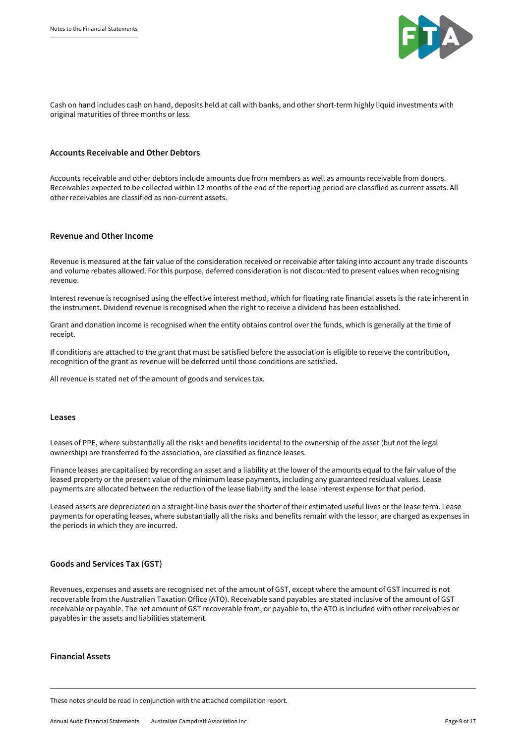

Cash on hand includes cash on hand, deposits held at call with banks, and other short-term highly liquid investments with original maturities of three months or less.

#### **Accounts Receivable and Other Debtors**

Accounts receivable and other debtors include amounts due from members as well as amounts receivable from donors. Receivables expected to be collected within 12 months of the end of the reporting period are classified as current assets. All other receivables are classified as non-current assets.

#### **Revenue and Other Income**

Revenue is measured at the fair value of the consideration received or receivable after taking into account any trade discounts and volume rebates allowed. For this purpose, deferred consideration is not discounted to present values when recognising revenue.

Interest revenue is recognised using the effective interest method, which for floating rate financial assets is the rate inherent in the instrument. Dividend revenue is recognised when the right to receive a dividend has been established.

Grant and donation income is recognised when the entity obtains control over the funds, which is generally at the time of receipt.

If conditions are attached to the grant that must be satisfied before the association is eligible to receive the contribution, recognition of the grant as revenue will be deferred until those conditions are satisfied.

All revenue is stated net of the amount of goods and services tax.

#### **Leases**

Leases of PPE, where substantially all the risks and benefits incidental to the ownership of the asset (but not the legal ownership) are transferred to the association, are classified as finance leases.

Finance leases are capitalised by recording an asset and a liability at the lower of the amounts equal to the fair value of the leased property or the present value of the minimum lease payments, including any guaranteed residual values. Lease payments are allocated between the reduction of the lease liability and the lease interest expense for that period.

Leased assets are depreciated on a straight-line basis over the shorter of their estimated useful lives or the lease term. Lease payments for operating leases, where substantially all the risks and benefits remain with the lessor, are charged as expenses in the periods in which they are incurred.

#### **Goods and Services Tax (GST)**

Revenues, expenses and assets are recognised net of the amount of GST, except where the amount of GST incurred is not recoverable from the Australian Taxation Office (ATO). Receivable sand payables are stated inclusive of the amount of GST receivable or payable. The net amount of GST recoverable from, or payable to, the ATO is included with other receivables or payables in the assets and liabilities statement.

#### **Financial Assets**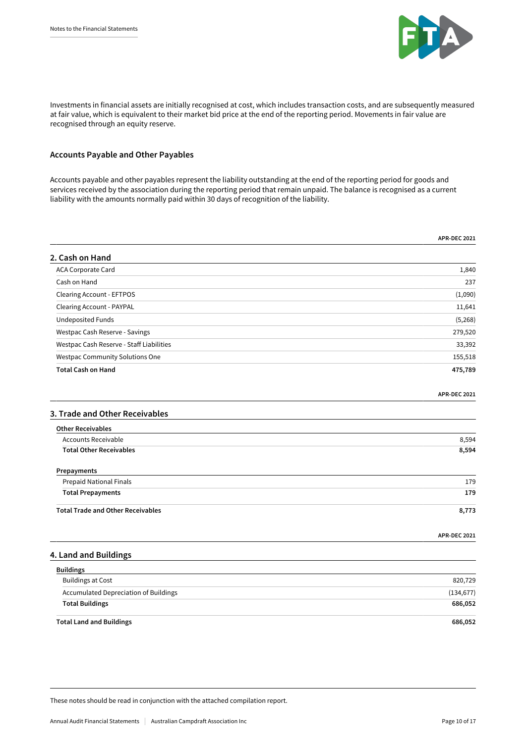

Investments in financial assets are initially recognised at cost, which includes transaction costs, and are subsequently measured at fair value, which is equivalent to their market bid price at the end of the reporting period. Movements in fair value are recognised through an equity reserve.

#### **Accounts Payable and Other Payables**

Accounts payable and other payables represent the liability outstanding at the end of the reporting period for goods and services received by the association during the reporting period that remain unpaid. The balance is recognised as a current liability with the amounts normally paid within 30 days of recognition of the liability.

|                                                              | <b>APR-DEC 2021</b> |
|--------------------------------------------------------------|---------------------|
| 2. Cash on Hand                                              |                     |
| ACA Corporate Card                                           | 1,840               |
| Cash on Hand                                                 | 237                 |
| <b>Clearing Account - EFTPOS</b>                             | (1,090)             |
| <b>Clearing Account - PAYPAL</b>                             | 11,641              |
| <b>Undeposited Funds</b>                                     | (5,268)             |
| Westpac Cash Reserve - Savings                               | 279,520             |
| Westpac Cash Reserve - Staff Liabilities                     | 33,392              |
| Westpac Community Solutions One                              | 155,518             |
| <b>Total Cash on Hand</b>                                    | 475,789             |
|                                                              | <b>APR-DEC 2021</b> |
| 3. Trade and Other Receivables                               |                     |
| <b>Other Receivables</b>                                     |                     |
| <b>Accounts Receivable</b><br><b>Total Other Receivables</b> | 8,594               |
|                                                              | 8,594               |
| Prepayments                                                  |                     |
| Prepaid National Finals                                      | 179                 |
| <b>Total Prepayments</b>                                     | 179                 |
| <b>Total Trade and Other Receivables</b>                     | 8,773               |
|                                                              | <b>APR-DEC 2021</b> |
| 4. Land and Buildings                                        |                     |
| <b>Buildings</b>                                             |                     |
| <b>Buildings at Cost</b>                                     | 820,729             |
| <b>Accumulated Depreciation of Buildings</b>                 | (134, 677)          |
| <b>Total Buildings</b>                                       | 686,052             |
| <b>Total Land and Buildings</b>                              | 686,052             |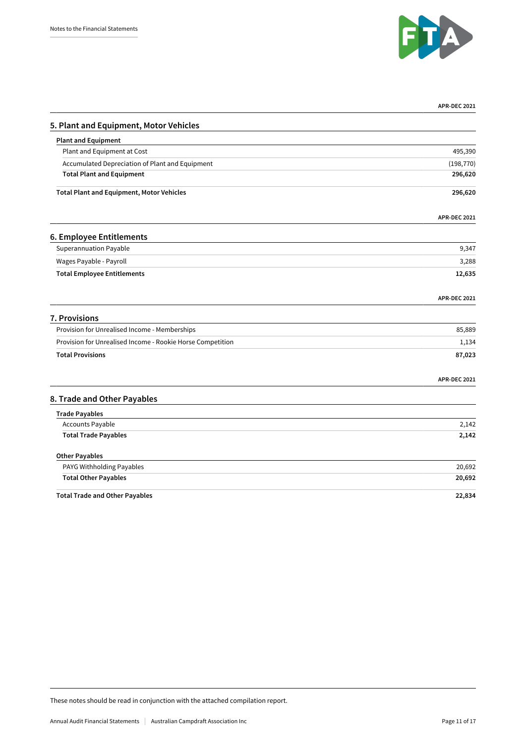

|                                                            | <b>APR-DEC 2021</b> |
|------------------------------------------------------------|---------------------|
| 5. Plant and Equipment, Motor Vehicles                     |                     |
| <b>Plant and Equipment</b>                                 |                     |
| Plant and Equipment at Cost                                | 495,390             |
| Accumulated Depreciation of Plant and Equipment            | (198, 770)          |
| <b>Total Plant and Equipment</b>                           | 296,620             |
| <b>Total Plant and Equipment, Motor Vehicles</b>           | 296,620             |
|                                                            | <b>APR-DEC 2021</b> |
| 6. Employee Entitlements                                   |                     |
| <b>Superannuation Payable</b>                              | 9,347               |
| Wages Payable - Payroll                                    | 3,288               |
| <b>Total Employee Entitlements</b>                         | 12,635              |
|                                                            | <b>APR-DEC 2021</b> |
| 7. Provisions                                              |                     |
| Provision for Unrealised Income - Memberships              | 85,889              |
| Provision for Unrealised Income - Rookie Horse Competition | 1,134               |
| <b>Total Provisions</b>                                    | 87,023              |
|                                                            | <b>APR-DEC 2021</b> |
| 8. Trade and Other Payables                                |                     |
| <b>Trade Payables</b>                                      |                     |
| Accounts Payable                                           | 2,142               |
| <b>Total Trade Payables</b>                                | 2,142               |
| <b>Other Payables</b>                                      |                     |
| PAYG Withholding Payables                                  | 20,692              |
| <b>Total Other Payables</b>                                | 20,692              |
| <b>Total Trade and Other Payables</b>                      | 22,834              |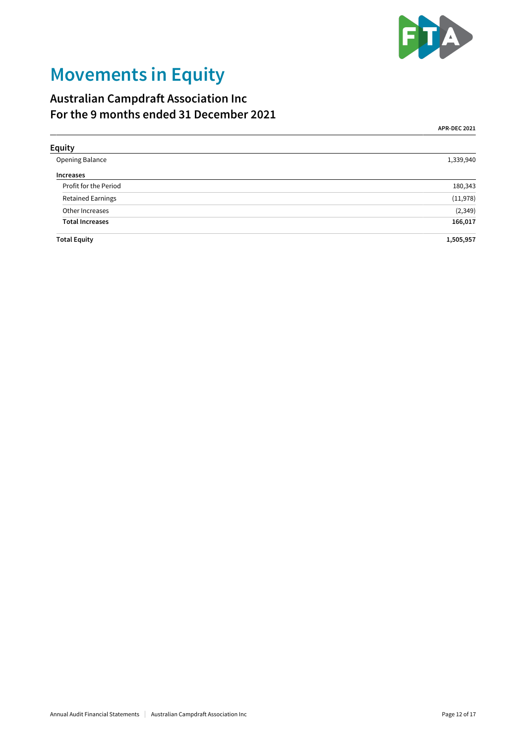

## **Movements in Equity**

### **Australian Campdraft Association Inc For the 9 months ended 31 December 2021**

**APR-DEC 2021**

| <b>Equity</b>            |           |
|--------------------------|-----------|
| Opening Balance          | 1,339,940 |
| <b>Increases</b>         |           |
| Profit for the Period    | 180,343   |
| <b>Retained Earnings</b> | (11,978)  |
| Other Increases          | (2, 349)  |
| <b>Total Increases</b>   | 166,017   |
| <b>Total Equity</b>      | 1,505,957 |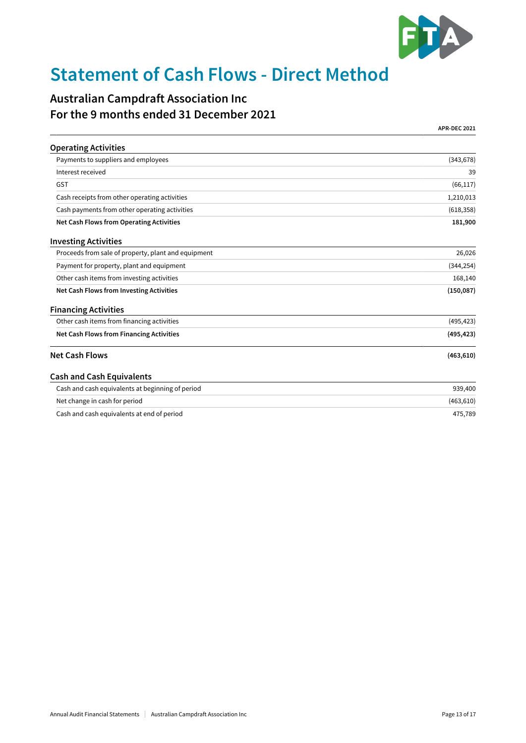

## **Statement of Cash Flows - Direct Method**

### **Australian Campdraft Association Inc For the 9 months ended 31 December 2021**

**APR-DEC 2021**

| <b>Operating Activities</b>                         |            |
|-----------------------------------------------------|------------|
| Payments to suppliers and employees                 | (343, 678) |
| Interest received                                   | 39         |
| <b>GST</b>                                          | (66, 117)  |
| Cash receipts from other operating activities       | 1,210,013  |
| Cash payments from other operating activities       | (618, 358) |
| Net Cash Flows from Operating Activities            | 181,900    |
| <b>Investing Activities</b>                         |            |
| Proceeds from sale of property, plant and equipment | 26,026     |
| Payment for property, plant and equipment           | (344, 254) |
| Other cash items from investing activities          | 168,140    |
| <b>Net Cash Flows from Investing Activities</b>     | (150, 087) |
| <b>Financing Activities</b>                         |            |
| Other cash items from financing activities          | (495, 423) |
| <b>Net Cash Flows from Financing Activities</b>     | (495, 423) |
| <b>Net Cash Flows</b>                               | (463, 610) |
| <b>Cash and Cash Equivalents</b>                    |            |
| Cash and cash equivalents at beginning of period    | 939,400    |
| Net change in cash for period                       | (463, 610) |
| Cash and cash equivalents at end of period          | 475,789    |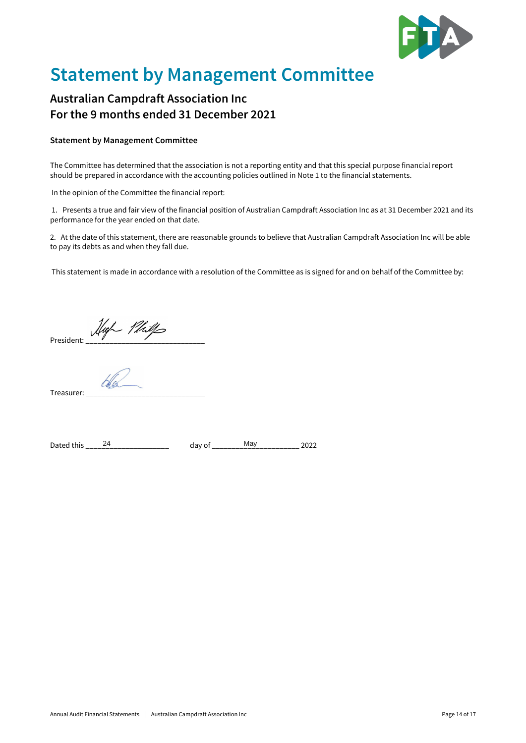

## **Statement by Management Committee**

### **Australian Campdraft Association Inc For the 9 months ended 31 December 2021**

#### **Statement by Management Committee**

The Committee has determined that the association is not a reporting entity and that this special purpose financial report should be prepared in accordance with the accounting policies outlined in Note 1 to the financial statements.

In the opinion of the Committee the financial report:

 1. Presents a true and fair view of the financial position of Australian Campdraft Association Inc as at 31 December 2021 and its performance for the year ended on that date.

2. At the date of this statement, there are reasonable grounds to believe that Australian Campdraft Association Inc will be able to pay its debts as and when they fall due.

This statement is made in accordance with a resolution of the Committee as is signed for and on behalf of the Committee by:

President: *Muff Phill*s

Treasurer:

| Dated<br>$+hr$ | uu<br>____ | ۱۷ ته<br>___ |  |
|----------------|------------|--------------|--|
|----------------|------------|--------------|--|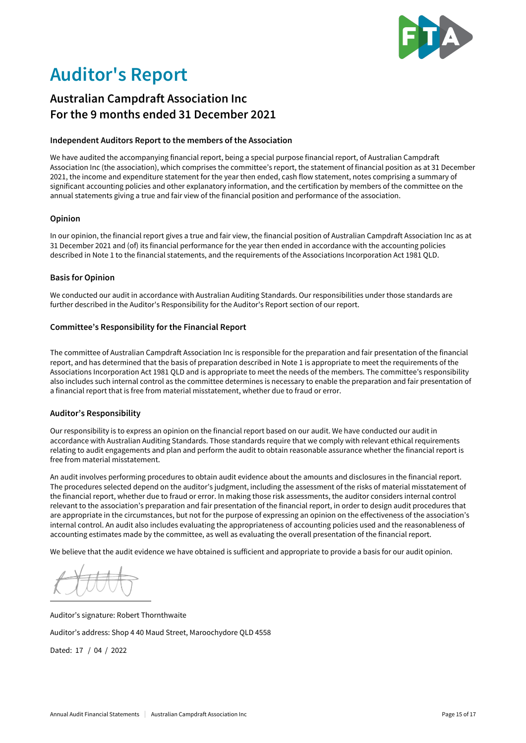

## **Auditor's Report**

### **Australian Campdraft Association Inc For the 9 months ended 31 December 2021**

#### **Independent Auditors Report to the members of the Association**

We have audited the accompanying financial report, being a special purpose financial report, of Australian Campdraft Association Inc (the association), which comprises the committee's report, the statement of financial position as at 31 December 2021, the income and expenditure statement for the year then ended, cash flow statement, notes comprising a summary of significant accounting policies and other explanatory information, and the certification by members of the committee on the annual statements giving a true and fair view of the financial position and performance of the association.

#### **Opinion**

In our opinion, the financial report gives a true and fair view, the financial position of Australian Campdraft Association Inc as at 31 December 2021 and (of) its financial performance for the year then ended in accordance with the accounting policies described in Note 1 to the financial statements, and the requirements of the Associations Incorporation Act 1981 QLD.

#### **Basis for Opinion**

We conducted our audit in accordance with Australian Auditing Standards. Our responsibilities under those standards are further described in the Auditor's Responsibility for the Auditor's Report section of our report.

#### **Committee's Responsibility for the Financial Report**

The committee of Australian Campdraft Association Inc is responsible for the preparation and fair presentation of the financial report, and has determined that the basis of preparation described in Note 1 is appropriate to meet the requirements of the Associations Incorporation Act 1981 QLD and is appropriate to meet the needs of the members. The committee's responsibility also includes such internal control as the committee determines is necessary to enable the preparation and fair presentation of a financial report that is free from material misstatement, whether due to fraud or error.

#### **Auditor's Responsibility**

Our responsibility is to express an opinion on the financial report based on our audit. We have conducted our audit in accordance with Australian Auditing Standards. Those standards require that we comply with relevant ethical requirements relating to audit engagements and plan and perform the audit to obtain reasonable assurance whether the financial report is free from material misstatement.

An audit involves performing procedures to obtain audit evidence about the amounts and disclosures in the financial report. The procedures selected depend on the auditor's judgment, including the assessment of the risks of material misstatement of the financial report, whether due to fraud or error. In making those risk assessments, the auditor considers internal control relevant to the association's preparation and fair presentation of the financial report, in order to design audit procedures that are appropriate in the circumstances, but not for the purpose of expressing an opinion on the effectiveness of the association's internal control. An audit also includes evaluating the appropriateness of accounting policies used and the reasonableness of accounting estimates made by the committee, as well as evaluating the overall presentation of the financial report.

We believe that the audit evidence we have obtained is sufficient and appropriate to provide a basis for our audit opinion.

Auditor's signature: Robert Thornthwaite Auditor's address: Shop 4 40 Maud Street, Maroochydore QLD 4558 Dated: 17 / 04 / 2022

Annual Audit Financial Statements Australian Campdraft Association Inc Page 15 of 17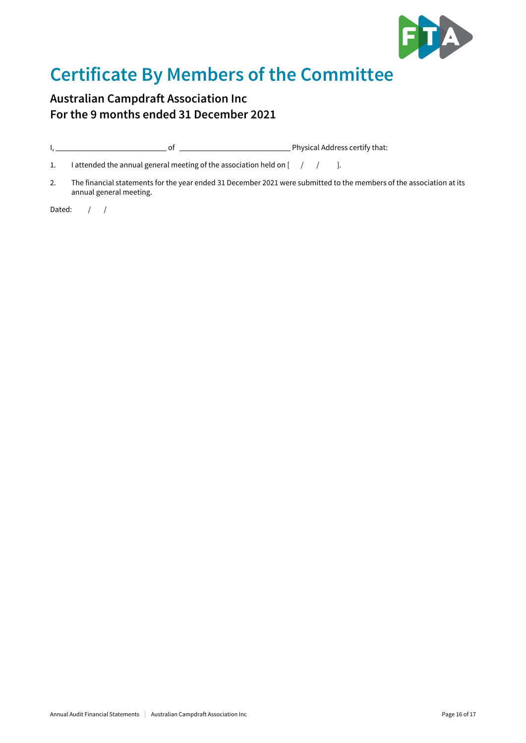

## **Certificate By Members of the Committee**

### **Australian Campdraft Association Inc For the 9 months ended 31 December 2021**

I, of Physical Address certify that:

1. I attended the annual general meeting of the association held on  $[-/$   $/$  ].

2. The financial statements for the year ended 31 December 2021 were submitted to the members of the association at its annual general meeting.

Dated:  $/ /$